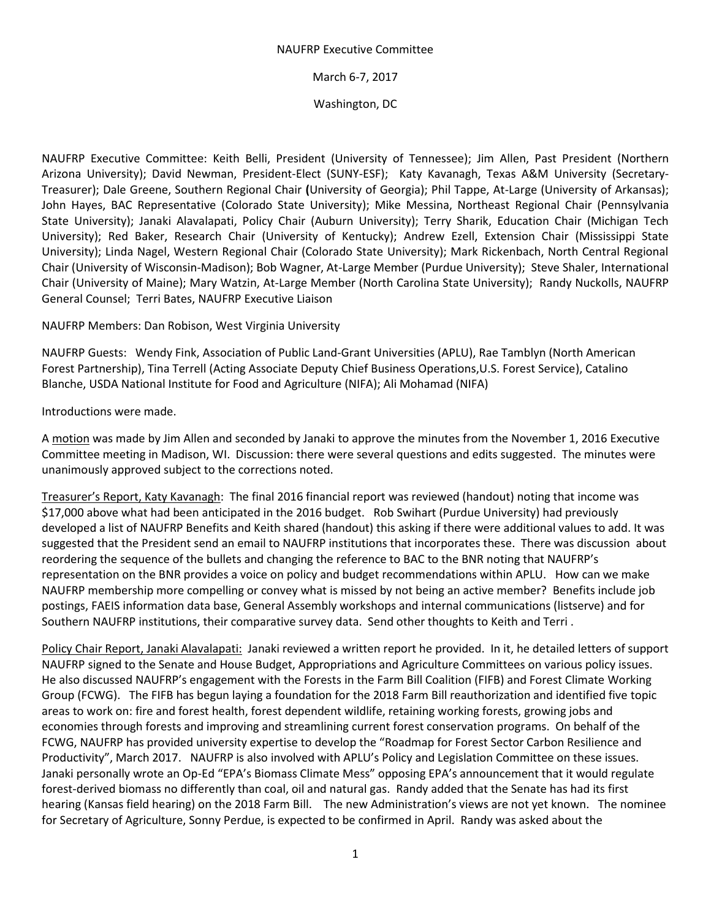## NAUFRP Executive Committee

## March 6-7, 2017

## Washington, DC

NAUFRP Executive Committee: Keith Belli, President (University of Tennessee); Jim Allen, Past President (Northern Arizona University); David Newman, President-Elect (SUNY-ESF); Katy Kavanagh, Texas A&M University (Secretary-Treasurer); Dale Greene, Southern Regional Chair **(**University of Georgia); Phil Tappe, At-Large (University of Arkansas); John Hayes, BAC Representative (Colorado State University); Mike Messina, Northeast Regional Chair (Pennsylvania State University); Janaki Alavalapati, Policy Chair (Auburn University); Terry Sharik, Education Chair (Michigan Tech University); Red Baker, Research Chair (University of Kentucky); Andrew Ezell, Extension Chair (Mississippi State University); Linda Nagel, Western Regional Chair (Colorado State University); Mark Rickenbach, North Central Regional Chair (University of Wisconsin-Madison); Bob Wagner, At-Large Member (Purdue University); Steve Shaler, International Chair (University of Maine); Mary Watzin, At-Large Member (North Carolina State University); Randy Nuckolls, NAUFRP General Counsel; Terri Bates, NAUFRP Executive Liaison

NAUFRP Members: Dan Robison, West Virginia University

NAUFRP Guests: Wendy Fink, Association of Public Land-Grant Universities (APLU), Rae Tamblyn (North American Forest Partnership), Tina Terrell (Acting Associate Deputy Chief Business Operations,U.S. Forest Service), Catalino Blanche, USDA National Institute for Food and Agriculture (NIFA); Ali Mohamad (NIFA)

Introductions were made.

A motion was made by Jim Allen and seconded by Janaki to approve the minutes from the November 1, 2016 Executive Committee meeting in Madison, WI. Discussion: there were several questions and edits suggested. The minutes were unanimously approved subject to the corrections noted.

Treasurer's Report, Katy Kavanagh: The final 2016 financial report was reviewed (handout) noting that income was \$17,000 above what had been anticipated in the 2016 budget. Rob Swihart (Purdue University) had previously developed a list of NAUFRP Benefits and Keith shared (handout) this asking if there were additional values to add. It was suggested that the President send an email to NAUFRP institutions that incorporates these. There was discussion about reordering the sequence of the bullets and changing the reference to BAC to the BNR noting that NAUFRP's representation on the BNR provides a voice on policy and budget recommendations within APLU. How can we make NAUFRP membership more compelling or convey what is missed by not being an active member? Benefits include job postings, FAEIS information data base, General Assembly workshops and internal communications (listserve) and for Southern NAUFRP institutions, their comparative survey data. Send other thoughts to Keith and Terri .

Policy Chair Report, Janaki Alavalapati: Janaki reviewed a written report he provided. In it, he detailed letters of support NAUFRP signed to the Senate and House Budget, Appropriations and Agriculture Committees on various policy issues. He also discussed NAUFRP's engagement with the Forests in the Farm Bill Coalition (FIFB) and Forest Climate Working Group (FCWG). The FIFB has begun laying a foundation for the 2018 Farm Bill reauthorization and identified five topic areas to work on: fire and forest health, forest dependent wildlife, retaining working forests, growing jobs and economies through forests and improving and streamlining current forest conservation programs. On behalf of the FCWG, NAUFRP has provided university expertise to develop the "Roadmap for Forest Sector Carbon Resilience and Productivity", March 2017. NAUFRP is also involved with APLU's Policy and Legislation Committee on these issues. Janaki personally wrote an Op-Ed "EPA's Biomass Climate Mess" opposing EPA's announcement that it would regulate forest-derived biomass no differently than coal, oil and natural gas. Randy added that the Senate has had its first hearing (Kansas field hearing) on the 2018 Farm Bill. The new Administration's views are not yet known. The nominee for Secretary of Agriculture, Sonny Perdue, is expected to be confirmed in April. Randy was asked about the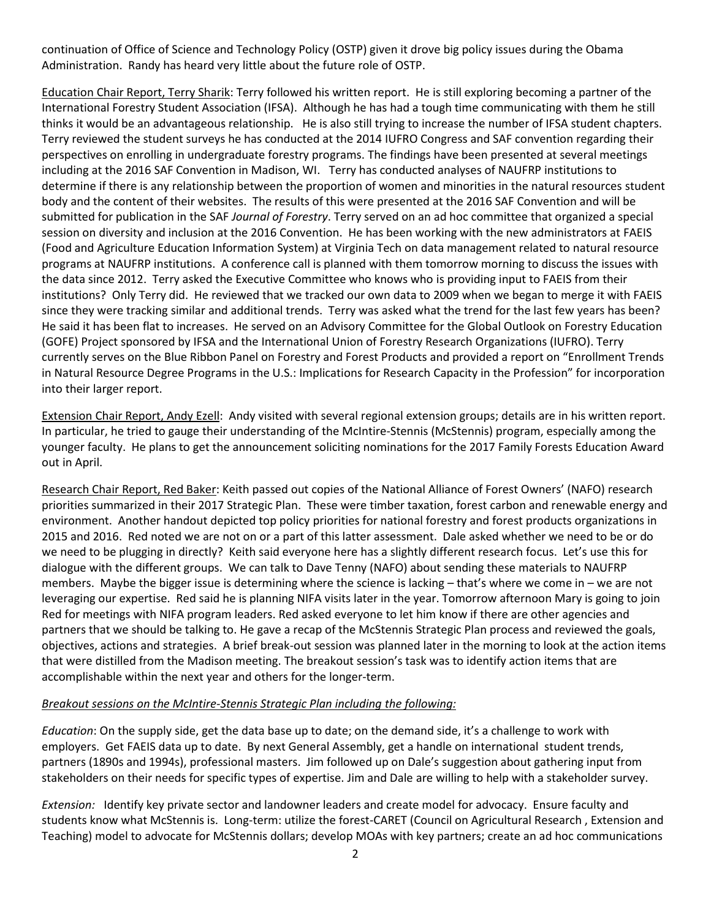continuation of Office of Science and Technology Policy (OSTP) given it drove big policy issues during the Obama Administration. Randy has heard very little about the future role of OSTP.

Education Chair Report, Terry Sharik: Terry followed his written report. He is still exploring becoming a partner of the International Forestry Student Association (IFSA). Although he has had a tough time communicating with them he still thinks it would be an advantageous relationship. He is also still trying to increase the number of IFSA student chapters. Terry reviewed the student surveys he has conducted at the 2014 IUFRO Congress and SAF convention regarding their perspectives on enrolling in undergraduate forestry programs. The findings have been presented at several meetings including at the 2016 SAF Convention in Madison, WI. Terry has conducted analyses of NAUFRP institutions to determine if there is any relationship between the proportion of women and minorities in the natural resources student body and the content of their websites. The results of this were presented at the 2016 SAF Convention and will be submitted for publication in the SAF *Journal of Forestry*. Terry served on an ad hoc committee that organized a special session on diversity and inclusion at the 2016 Convention. He has been working with the new administrators at FAEIS (Food and Agriculture Education Information System) at Virginia Tech on data management related to natural resource programs at NAUFRP institutions. A conference call is planned with them tomorrow morning to discuss the issues with the data since 2012. Terry asked the Executive Committee who knows who is providing input to FAEIS from their institutions? Only Terry did. He reviewed that we tracked our own data to 2009 when we began to merge it with FAEIS since they were tracking similar and additional trends. Terry was asked what the trend for the last few years has been? He said it has been flat to increases. He served on an Advisory Committee for the Global Outlook on Forestry Education (GOFE) Project sponsored by IFSA and the International Union of Forestry Research Organizations (IUFRO). Terry currently serves on the Blue Ribbon Panel on Forestry and Forest Products and provided a report on "Enrollment Trends in Natural Resource Degree Programs in the U.S.: Implications for Research Capacity in the Profession" for incorporation into their larger report.

Extension Chair Report, Andy Ezell: Andy visited with several regional extension groups; details are in his written report. In particular, he tried to gauge their understanding of the McIntire-Stennis (McStennis) program, especially among the younger faculty. He plans to get the announcement soliciting nominations for the 2017 Family Forests Education Award out in April.

Research Chair Report, Red Baker: Keith passed out copies of the National Alliance of Forest Owners' (NAFO) research priorities summarized in their 2017 Strategic Plan. These were timber taxation, forest carbon and renewable energy and environment. Another handout depicted top policy priorities for national forestry and forest products organizations in 2015 and 2016. Red noted we are not on or a part of this latter assessment. Dale asked whether we need to be or do we need to be plugging in directly? Keith said everyone here has a slightly different research focus. Let's use this for dialogue with the different groups. We can talk to Dave Tenny (NAFO) about sending these materials to NAUFRP members. Maybe the bigger issue is determining where the science is lacking – that's where we come in – we are not leveraging our expertise. Red said he is planning NIFA visits later in the year. Tomorrow afternoon Mary is going to join Red for meetings with NIFA program leaders. Red asked everyone to let him know if there are other agencies and partners that we should be talking to. He gave a recap of the McStennis Strategic Plan process and reviewed the goals, objectives, actions and strategies. A brief break-out session was planned later in the morning to look at the action items that were distilled from the Madison meeting. The breakout session's task was to identify action items that are accomplishable within the next year and others for the longer-term.

## *Breakout sessions on the McIntire-Stennis Strategic Plan including the following:*

*Education*: On the supply side, get the data base up to date; on the demand side, it's a challenge to work with employers. Get FAEIS data up to date. By next General Assembly, get a handle on international student trends, partners (1890s and 1994s), professional masters. Jim followed up on Dale's suggestion about gathering input from stakeholders on their needs for specific types of expertise. Jim and Dale are willing to help with a stakeholder survey.

*Extension:* Identify key private sector and landowner leaders and create model for advocacy. Ensure faculty and students know what McStennis is. Long-term: utilize the forest-CARET (Council on Agricultural Research , Extension and Teaching) model to advocate for McStennis dollars; develop MOAs with key partners; create an ad hoc communications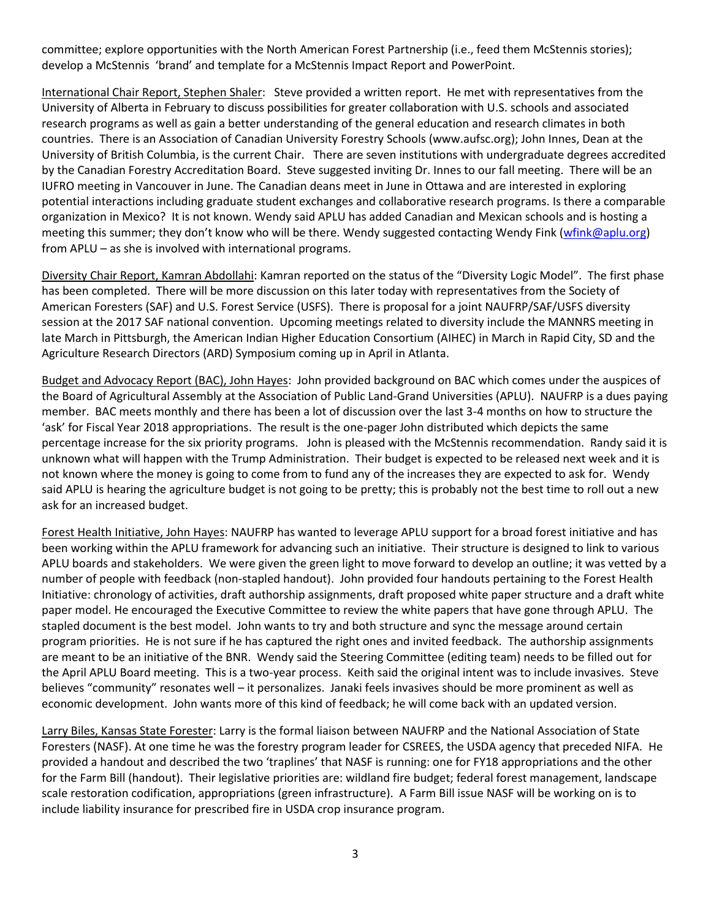committee; explore opportunities with the North American Forest Partnership (i.e., feed them McStennis stories); develop a McStennis 'brand' and template for a McStennis Impact Report and PowerPoint.

International Chair Report, Stephen Shaler: Steve provided a written report. He met with representatives from the University of Alberta in February to discuss possibilities for greater collaboration with U.S. schools and associated research programs as well as gain a better understanding of the general education and research climates in both countries. There is an Association of Canadian University Forestry Schools (www.aufsc.org); John Innes, Dean at the University of British Columbia, is the current Chair. There are seven institutions with undergraduate degrees accredited by the Canadian Forestry Accreditation Board. Steve suggested inviting Dr. Innes to our fall meeting. There will be an IUFRO meeting in Vancouver in June. The Canadian deans meet in June in Ottawa and are interested in exploring potential interactions including graduate student exchanges and collaborative research programs. Is there a comparable organization in Mexico? It is not known. Wendy said APLU has added Canadian and Mexican schools and is hosting a meeting this summer; they don't know who will be there. Wendy suggested contacting Wendy Fink [\(wfink@aplu.org\)](mailto:wfink@aplu.org) from APLU – as she is involved with international programs.

Diversity Chair Report, Kamran Abdollahi: Kamran reported on the status of the "Diversity Logic Model". The first phase has been completed. There will be more discussion on this later today with representatives from the Society of American Foresters (SAF) and U.S. Forest Service (USFS). There is proposal for a joint NAUFRP/SAF/USFS diversity session at the 2017 SAF national convention. Upcoming meetings related to diversity include the MANNRS meeting in late March in Pittsburgh, the American Indian Higher Education Consortium (AIHEC) in March in Rapid City, SD and the Agriculture Research Directors (ARD) Symposium coming up in April in Atlanta.

Budget and Advocacy Report (BAC), John Hayes: John provided background on BAC which comes under the auspices of the Board of Agricultural Assembly at the Association of Public Land-Grand Universities (APLU). NAUFRP is a dues paying member. BAC meets monthly and there has been a lot of discussion over the last 3-4 months on how to structure the 'ask' for Fiscal Year 2018 appropriations. The result is the one-pager John distributed which depicts the same percentage increase for the six priority programs. John is pleased with the McStennis recommendation. Randy said it is unknown what will happen with the Trump Administration. Their budget is expected to be released next week and it is not known where the money is going to come from to fund any of the increases they are expected to ask for. Wendy said APLU is hearing the agriculture budget is not going to be pretty; this is probably not the best time to roll out a new ask for an increased budget.

Forest Health Initiative, John Hayes: NAUFRP has wanted to leverage APLU support for a broad forest initiative and has been working within the APLU framework for advancing such an initiative. Their structure is designed to link to various APLU boards and stakeholders. We were given the green light to move forward to develop an outline; it was vetted by a number of people with feedback (non-stapled handout). John provided four handouts pertaining to the Forest Health Initiative: chronology of activities, draft authorship assignments, draft proposed white paper structure and a draft white paper model. He encouraged the Executive Committee to review the white papers that have gone through APLU. The stapled document is the best model. John wants to try and both structure and sync the message around certain program priorities. He is not sure if he has captured the right ones and invited feedback. The authorship assignments are meant to be an initiative of the BNR. Wendy said the Steering Committee (editing team) needs to be filled out for the April APLU Board meeting. This is a two-year process. Keith said the original intent was to include invasives. Steve believes "community" resonates well – it personalizes. Janaki feels invasives should be more prominent as well as economic development. John wants more of this kind of feedback; he will come back with an updated version.

Larry Biles, Kansas State Forester: Larry is the formal liaison between NAUFRP and the National Association of State Foresters (NASF). At one time he was the forestry program leader for CSREES, the USDA agency that preceded NIFA. He provided a handout and described the two 'traplines' that NASF is running: one for FY18 appropriations and the other for the Farm Bill (handout). Their legislative priorities are: wildland fire budget; federal forest management, landscape scale restoration codification, appropriations (green infrastructure). A Farm Bill issue NASF will be working on is to include liability insurance for prescribed fire in USDA crop insurance program.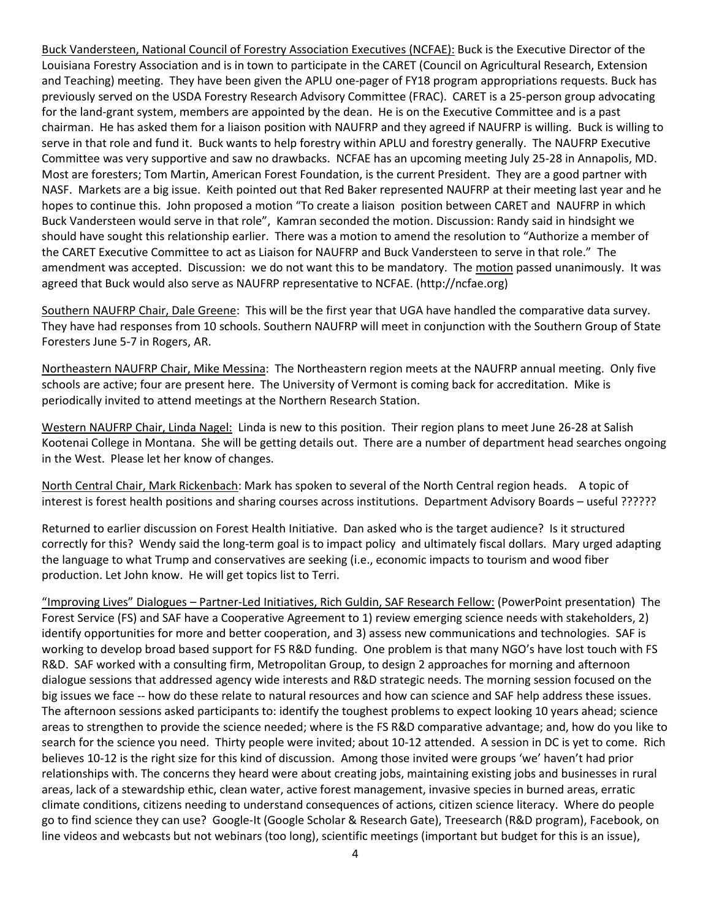Buck Vandersteen, National Council of Forestry Association Executives (NCFAE): Buck is the Executive Director of the Louisiana Forestry Association and is in town to participate in the CARET (Council on Agricultural Research, Extension and Teaching) meeting. They have been given the APLU one-pager of FY18 program appropriations requests. Buck has previously served on the USDA Forestry Research Advisory Committee (FRAC). CARET is a 25-person group advocating for the land-grant system, members are appointed by the dean. He is on the Executive Committee and is a past chairman. He has asked them for a liaison position with NAUFRP and they agreed if NAUFRP is willing. Buck is willing to serve in that role and fund it. Buck wants to help forestry within APLU and forestry generally. The NAUFRP Executive Committee was very supportive and saw no drawbacks. NCFAE has an upcoming meeting July 25-28 in Annapolis, MD. Most are foresters; Tom Martin, American Forest Foundation, is the current President. They are a good partner with NASF. Markets are a big issue. Keith pointed out that Red Baker represented NAUFRP at their meeting last year and he hopes to continue this. John proposed a motion "To create a liaison position between CARET and NAUFRP in which Buck Vandersteen would serve in that role", Kamran seconded the motion. Discussion: Randy said in hindsight we should have sought this relationship earlier. There was a motion to amend the resolution to "Authorize a member of the CARET Executive Committee to act as Liaison for NAUFRP and Buck Vandersteen to serve in that role." The amendment was accepted. Discussion: we do not want this to be mandatory. The motion passed unanimously. It was agreed that Buck would also serve as NAUFRP representative to NCFAE. (http://ncfae.org)

Southern NAUFRP Chair, Dale Greene: This will be the first year that UGA have handled the comparative data survey. They have had responses from 10 schools. Southern NAUFRP will meet in conjunction with the Southern Group of State Foresters June 5-7 in Rogers, AR.

Northeastern NAUFRP Chair, Mike Messina: The Northeastern region meets at the NAUFRP annual meeting. Only five schools are active; four are present here. The University of Vermont is coming back for accreditation. Mike is periodically invited to attend meetings at the Northern Research Station.

Western NAUFRP Chair, Linda Nagel: Linda is new to this position. Their region plans to meet June 26-28 at Salish Kootenai College in Montana. She will be getting details out. There are a number of department head searches ongoing in the West. Please let her know of changes.

North Central Chair, Mark Rickenbach: Mark has spoken to several of the North Central region heads. A topic of interest is forest health positions and sharing courses across institutions. Department Advisory Boards – useful ??????

Returned to earlier discussion on Forest Health Initiative. Dan asked who is the target audience? Is it structured correctly for this? Wendy said the long-term goal is to impact policy and ultimately fiscal dollars. Mary urged adapting the language to what Trump and conservatives are seeking (i.e., economic impacts to tourism and wood fiber production. Let John know. He will get topics list to Terri.

"Improving Lives" Dialogues – Partner-Led Initiatives, Rich Guldin, SAF Research Fellow: (PowerPoint presentation) The Forest Service (FS) and SAF have a Cooperative Agreement to 1) review emerging science needs with stakeholders, 2) identify opportunities for more and better cooperation, and 3) assess new communications and technologies. SAF is working to develop broad based support for FS R&D funding. One problem is that many NGO's have lost touch with FS R&D. SAF worked with a consulting firm, Metropolitan Group, to design 2 approaches for morning and afternoon dialogue sessions that addressed agency wide interests and R&D strategic needs. The morning session focused on the big issues we face -- how do these relate to natural resources and how can science and SAF help address these issues. The afternoon sessions asked participants to: identify the toughest problems to expect looking 10 years ahead; science areas to strengthen to provide the science needed; where is the FS R&D comparative advantage; and, how do you like to search for the science you need. Thirty people were invited; about 10-12 attended. A session in DC is yet to come. Rich believes 10-12 is the right size for this kind of discussion. Among those invited were groups 'we' haven't had prior relationships with. The concerns they heard were about creating jobs, maintaining existing jobs and businesses in rural areas, lack of a stewardship ethic, clean water, active forest management, invasive species in burned areas, erratic climate conditions, citizens needing to understand consequences of actions, citizen science literacy. Where do people go to find science they can use? Google-It (Google Scholar & Research Gate), Treesearch (R&D program), Facebook, on line videos and webcasts but not webinars (too long), scientific meetings (important but budget for this is an issue),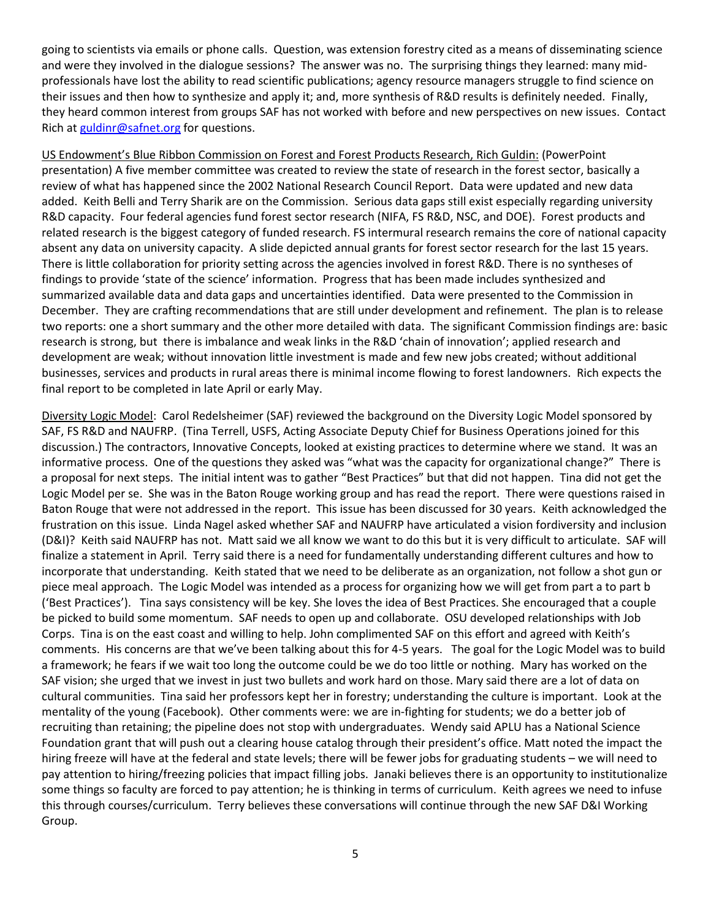going to scientists via emails or phone calls. Question, was extension forestry cited as a means of disseminating science and were they involved in the dialogue sessions? The answer was no. The surprising things they learned: many midprofessionals have lost the ability to read scientific publications; agency resource managers struggle to find science on their issues and then how to synthesize and apply it; and, more synthesis of R&D results is definitely needed. Finally, they heard common interest from groups SAF has not worked with before and new perspectives on new issues. Contact Rich at [guldinr@safnet.org](mailto:guldinr@safnet.org) for questions.

US Endowment's Blue Ribbon Commission on Forest and Forest Products Research, Rich Guldin: (PowerPoint presentation) A five member committee was created to review the state of research in the forest sector, basically a review of what has happened since the 2002 National Research Council Report. Data were updated and new data added. Keith Belli and Terry Sharik are on the Commission. Serious data gaps still exist especially regarding university R&D capacity. Four federal agencies fund forest sector research (NIFA, FS R&D, NSC, and DOE). Forest products and related research is the biggest category of funded research. FS intermural research remains the core of national capacity absent any data on university capacity. A slide depicted annual grants for forest sector research for the last 15 years. There is little collaboration for priority setting across the agencies involved in forest R&D. There is no syntheses of findings to provide 'state of the science' information. Progress that has been made includes synthesized and summarized available data and data gaps and uncertainties identified. Data were presented to the Commission in December. They are crafting recommendations that are still under development and refinement. The plan is to release two reports: one a short summary and the other more detailed with data. The significant Commission findings are: basic research is strong, but there is imbalance and weak links in the R&D 'chain of innovation'; applied research and development are weak; without innovation little investment is made and few new jobs created; without additional businesses, services and products in rural areas there is minimal income flowing to forest landowners. Rich expects the final report to be completed in late April or early May.

Diversity Logic Model: Carol Redelsheimer (SAF) reviewed the background on the Diversity Logic Model sponsored by SAF, FS R&D and NAUFRP. (Tina Terrell, USFS, Acting Associate Deputy Chief for Business Operations joined for this discussion.) The contractors, Innovative Concepts, looked at existing practices to determine where we stand. It was an informative process. One of the questions they asked was "what was the capacity for organizational change?" There is a proposal for next steps. The initial intent was to gather "Best Practices" but that did not happen. Tina did not get the Logic Model per se. She was in the Baton Rouge working group and has read the report. There were questions raised in Baton Rouge that were not addressed in the report. This issue has been discussed for 30 years. Keith acknowledged the frustration on this issue. Linda Nagel asked whether SAF and NAUFRP have articulated a vision fordiversity and inclusion (D&I)? Keith said NAUFRP has not. Matt said we all know we want to do this but it is very difficult to articulate. SAF will finalize a statement in April. Terry said there is a need for fundamentally understanding different cultures and how to incorporate that understanding. Keith stated that we need to be deliberate as an organization, not follow a shot gun or piece meal approach. The Logic Model was intended as a process for organizing how we will get from part a to part b ('Best Practices'). Tina says consistency will be key. She loves the idea of Best Practices. She encouraged that a couple be picked to build some momentum. SAF needs to open up and collaborate. OSU developed relationships with Job Corps. Tina is on the east coast and willing to help. John complimented SAF on this effort and agreed with Keith's comments. His concerns are that we've been talking about this for 4-5 years. The goal for the Logic Model was to build a framework; he fears if we wait too long the outcome could be we do too little or nothing. Mary has worked on the SAF vision; she urged that we invest in just two bullets and work hard on those. Mary said there are a lot of data on cultural communities. Tina said her professors kept her in forestry; understanding the culture is important. Look at the mentality of the young (Facebook). Other comments were: we are in-fighting for students; we do a better job of recruiting than retaining; the pipeline does not stop with undergraduates. Wendy said APLU has a National Science Foundation grant that will push out a clearing house catalog through their president's office. Matt noted the impact the hiring freeze will have at the federal and state levels; there will be fewer jobs for graduating students – we will need to pay attention to hiring/freezing policies that impact filling jobs. Janaki believes there is an opportunity to institutionalize some things so faculty are forced to pay attention; he is thinking in terms of curriculum. Keith agrees we need to infuse this through courses/curriculum. Terry believes these conversations will continue through the new SAF D&I Working Group.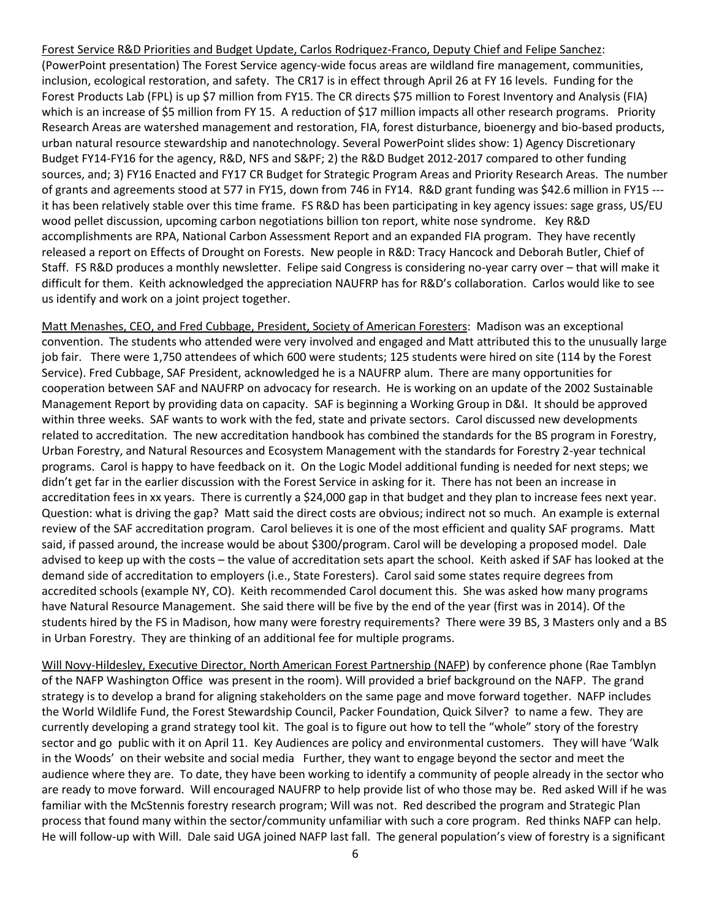Forest Service R&D Priorities and Budget Update, Carlos Rodriquez-Franco, Deputy Chief and Felipe Sanchez: (PowerPoint presentation) The Forest Service agency-wide focus areas are wildland fire management, communities, inclusion, ecological restoration, and safety. The CR17 is in effect through April 26 at FY 16 levels. Funding for the Forest Products Lab (FPL) is up \$7 million from FY15. The CR directs \$75 million to Forest Inventory and Analysis (FIA) which is an increase of \$5 million from FY 15. A reduction of \$17 million impacts all other research programs. Priority Research Areas are watershed management and restoration, FIA, forest disturbance, bioenergy and bio-based products, urban natural resource stewardship and nanotechnology. Several PowerPoint slides show: 1) Agency Discretionary Budget FY14-FY16 for the agency, R&D, NFS and S&PF; 2) the R&D Budget 2012-2017 compared to other funding sources, and; 3) FY16 Enacted and FY17 CR Budget for Strategic Program Areas and Priority Research Areas. The number of grants and agreements stood at 577 in FY15, down from 746 in FY14. R&D grant funding was \$42.6 million in FY15 -- it has been relatively stable over this time frame. FS R&D has been participating in key agency issues: sage grass, US/EU wood pellet discussion, upcoming carbon negotiations billion ton report, white nose syndrome. Key R&D accomplishments are RPA, National Carbon Assessment Report and an expanded FIA program. They have recently released a report on Effects of Drought on Forests. New people in R&D: Tracy Hancock and Deborah Butler, Chief of Staff. FS R&D produces a monthly newsletter. Felipe said Congress is considering no-year carry over – that will make it difficult for them. Keith acknowledged the appreciation NAUFRP has for R&D's collaboration. Carlos would like to see us identify and work on a joint project together.

Matt Menashes, CEO, and Fred Cubbage, President, Society of American Foresters: Madison was an exceptional convention. The students who attended were very involved and engaged and Matt attributed this to the unusually large job fair. There were 1,750 attendees of which 600 were students; 125 students were hired on site (114 by the Forest Service). Fred Cubbage, SAF President, acknowledged he is a NAUFRP alum. There are many opportunities for cooperation between SAF and NAUFRP on advocacy for research. He is working on an update of the 2002 Sustainable Management Report by providing data on capacity. SAF is beginning a Working Group in D&I. It should be approved within three weeks. SAF wants to work with the fed, state and private sectors. Carol discussed new developments related to accreditation. The new accreditation handbook has combined the standards for the BS program in Forestry, Urban Forestry, and Natural Resources and Ecosystem Management with the standards for Forestry 2-year technical programs. Carol is happy to have feedback on it. On the Logic Model additional funding is needed for next steps; we didn't get far in the earlier discussion with the Forest Service in asking for it. There has not been an increase in accreditation fees in xx years. There is currently a \$24,000 gap in that budget and they plan to increase fees next year. Question: what is driving the gap? Matt said the direct costs are obvious; indirect not so much. An example is external review of the SAF accreditation program. Carol believes it is one of the most efficient and quality SAF programs. Matt said, if passed around, the increase would be about \$300/program. Carol will be developing a proposed model. Dale advised to keep up with the costs – the value of accreditation sets apart the school. Keith asked if SAF has looked at the demand side of accreditation to employers (i.e., State Foresters). Carol said some states require degrees from accredited schools (example NY, CO). Keith recommended Carol document this. She was asked how many programs have Natural Resource Management. She said there will be five by the end of the year (first was in 2014). Of the students hired by the FS in Madison, how many were forestry requirements? There were 39 BS, 3 Masters only and a BS in Urban Forestry. They are thinking of an additional fee for multiple programs.

Will Novy-Hildesley, Executive Director, North American Forest Partnership (NAFP) by conference phone (Rae Tamblyn of the NAFP Washington Office was present in the room). Will provided a brief background on the NAFP. The grand strategy is to develop a brand for aligning stakeholders on the same page and move forward together. NAFP includes the World Wildlife Fund, the Forest Stewardship Council, Packer Foundation, Quick Silver? to name a few. They are currently developing a grand strategy tool kit. The goal is to figure out how to tell the "whole" story of the forestry sector and go public with it on April 11. Key Audiences are policy and environmental customers. They will have 'Walk in the Woods' on their website and social media Further, they want to engage beyond the sector and meet the audience where they are. To date, they have been working to identify a community of people already in the sector who are ready to move forward. Will encouraged NAUFRP to help provide list of who those may be. Red asked Will if he was familiar with the McStennis forestry research program; Will was not. Red described the program and Strategic Plan process that found many within the sector/community unfamiliar with such a core program. Red thinks NAFP can help. He will follow-up with Will. Dale said UGA joined NAFP last fall. The general population's view of forestry is a significant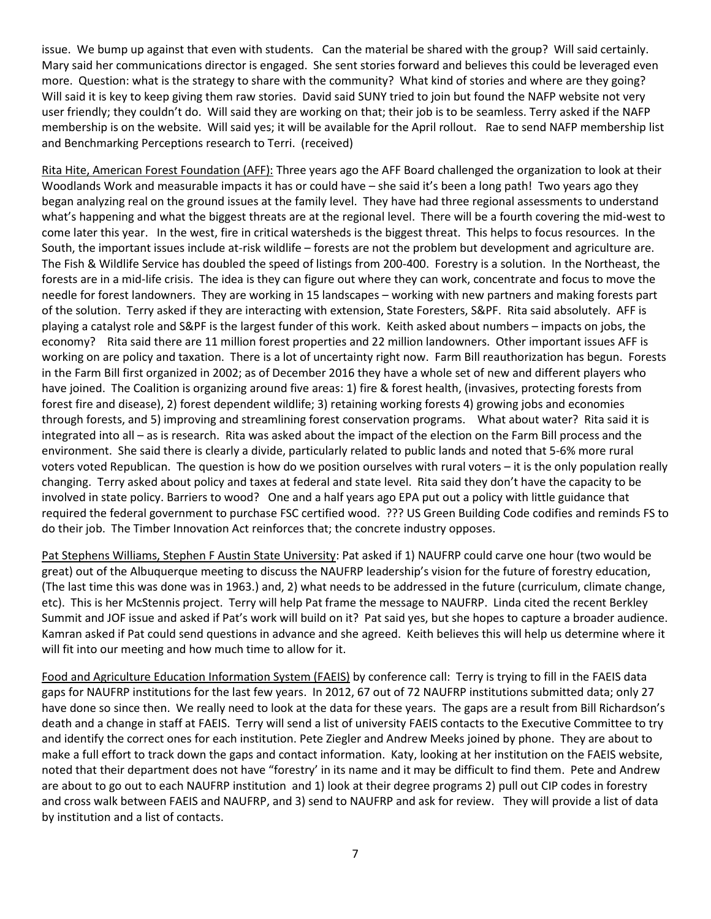issue. We bump up against that even with students. Can the material be shared with the group? Will said certainly. Mary said her communications director is engaged. She sent stories forward and believes this could be leveraged even more. Question: what is the strategy to share with the community? What kind of stories and where are they going? Will said it is key to keep giving them raw stories. David said SUNY tried to join but found the NAFP website not very user friendly; they couldn't do. Will said they are working on that; their job is to be seamless. Terry asked if the NAFP membership is on the website. Will said yes; it will be available for the April rollout. Rae to send NAFP membership list and Benchmarking Perceptions research to Terri. (received)

Rita Hite, American Forest Foundation (AFF): Three years ago the AFF Board challenged the organization to look at their Woodlands Work and measurable impacts it has or could have – she said it's been a long path! Two years ago they began analyzing real on the ground issues at the family level. They have had three regional assessments to understand what's happening and what the biggest threats are at the regional level. There will be a fourth covering the mid-west to come later this year. In the west, fire in critical watersheds is the biggest threat. This helps to focus resources. In the South, the important issues include at-risk wildlife – forests are not the problem but development and agriculture are. The Fish & Wildlife Service has doubled the speed of listings from 200-400. Forestry is a solution. In the Northeast, the forests are in a mid-life crisis. The idea is they can figure out where they can work, concentrate and focus to move the needle for forest landowners. They are working in 15 landscapes – working with new partners and making forests part of the solution. Terry asked if they are interacting with extension, State Foresters, S&PF. Rita said absolutely. AFF is playing a catalyst role and S&PF is the largest funder of this work. Keith asked about numbers – impacts on jobs, the economy? Rita said there are 11 million forest properties and 22 million landowners. Other important issues AFF is working on are policy and taxation. There is a lot of uncertainty right now. Farm Bill reauthorization has begun. Forests in the Farm Bill first organized in 2002; as of December 2016 they have a whole set of new and different players who have joined. The Coalition is organizing around five areas: 1) fire & forest health, (invasives, protecting forests from forest fire and disease), 2) forest dependent wildlife; 3) retaining working forests 4) growing jobs and economies through forests, and 5) improving and streamlining forest conservation programs. What about water? Rita said it is integrated into all – as is research. Rita was asked about the impact of the election on the Farm Bill process and the environment. She said there is clearly a divide, particularly related to public lands and noted that 5-6% more rural voters voted Republican. The question is how do we position ourselves with rural voters – it is the only population really changing. Terry asked about policy and taxes at federal and state level. Rita said they don't have the capacity to be involved in state policy. Barriers to wood? One and a half years ago EPA put out a policy with little guidance that required the federal government to purchase FSC certified wood. ??? US Green Building Code codifies and reminds FS to do their job. The Timber Innovation Act reinforces that; the concrete industry opposes.

Pat Stephens Williams, Stephen F Austin State University: Pat asked if 1) NAUFRP could carve one hour (two would be great) out of the Albuquerque meeting to discuss the NAUFRP leadership's vision for the future of forestry education, (The last time this was done was in 1963.) and, 2) what needs to be addressed in the future (curriculum, climate change, etc). This is her McStennis project. Terry will help Pat frame the message to NAUFRP. Linda cited the recent Berkley Summit and JOF issue and asked if Pat's work will build on it? Pat said yes, but she hopes to capture a broader audience. Kamran asked if Pat could send questions in advance and she agreed. Keith believes this will help us determine where it will fit into our meeting and how much time to allow for it.

Food and Agriculture Education Information System (FAEIS) by conference call: Terry is trying to fill in the FAEIS data gaps for NAUFRP institutions for the last few years. In 2012, 67 out of 72 NAUFRP institutions submitted data; only 27 have done so since then. We really need to look at the data for these years. The gaps are a result from Bill Richardson's death and a change in staff at FAEIS. Terry will send a list of university FAEIS contacts to the Executive Committee to try and identify the correct ones for each institution. Pete Ziegler and Andrew Meeks joined by phone. They are about to make a full effort to track down the gaps and contact information. Katy, looking at her institution on the FAEIS website, noted that their department does not have "forestry' in its name and it may be difficult to find them. Pete and Andrew are about to go out to each NAUFRP institution and 1) look at their degree programs 2) pull out CIP codes in forestry and cross walk between FAEIS and NAUFRP, and 3) send to NAUFRP and ask for review. They will provide a list of data by institution and a list of contacts.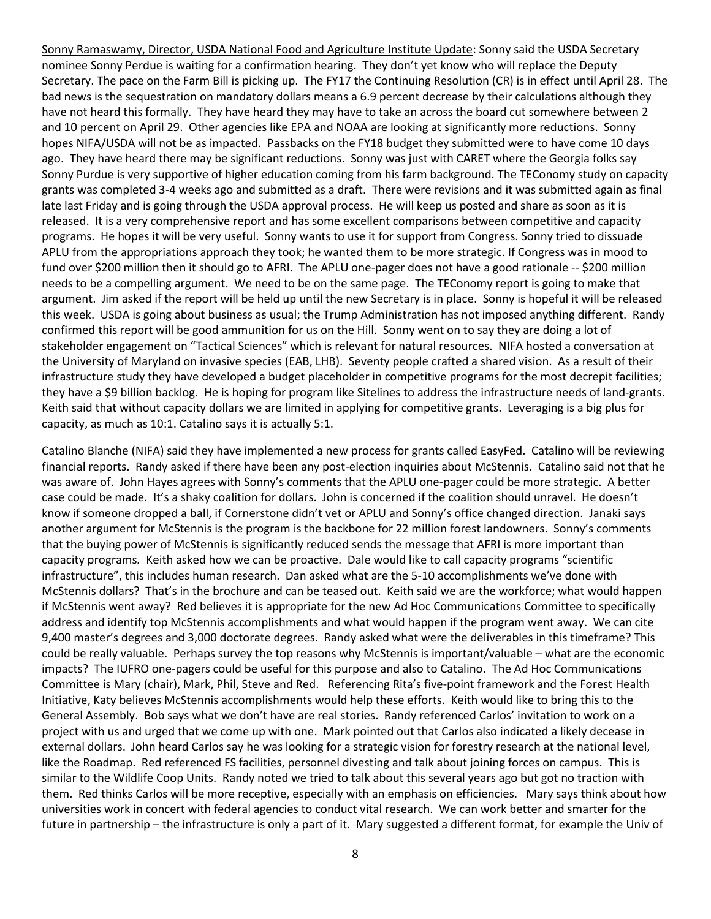Sonny Ramaswamy, Director, USDA National Food and Agriculture Institute Update: Sonny said the USDA Secretary nominee Sonny Perdue is waiting for a confirmation hearing. They don't yet know who will replace the Deputy Secretary. The pace on the Farm Bill is picking up. The FY17 the Continuing Resolution (CR) is in effect until April 28. The bad news is the sequestration on mandatory dollars means a 6.9 percent decrease by their calculations although they have not heard this formally. They have heard they may have to take an across the board cut somewhere between 2 and 10 percent on April 29. Other agencies like EPA and NOAA are looking at significantly more reductions. Sonny hopes NIFA/USDA will not be as impacted. Passbacks on the FY18 budget they submitted were to have come 10 days ago. They have heard there may be significant reductions. Sonny was just with CARET where the Georgia folks say Sonny Purdue is very supportive of higher education coming from his farm background. The TEConomy study on capacity grants was completed 3-4 weeks ago and submitted as a draft. There were revisions and it was submitted again as final late last Friday and is going through the USDA approval process. He will keep us posted and share as soon as it is released. It is a very comprehensive report and has some excellent comparisons between competitive and capacity programs. He hopes it will be very useful. Sonny wants to use it for support from Congress. Sonny tried to dissuade APLU from the appropriations approach they took; he wanted them to be more strategic. If Congress was in mood to fund over \$200 million then it should go to AFRI.The APLU one-pager does not have a good rationale -- \$200 million needs to be a compelling argument. We need to be on the same page. The TEConomy report is going to make that argument. Jim asked if the report will be held up until the new Secretary is in place. Sonny is hopeful it will be released this week. USDA is going about business as usual; the Trump Administration has not imposed anything different. Randy confirmed this report will be good ammunition for us on the Hill. Sonny went on to say they are doing a lot of stakeholder engagement on "Tactical Sciences" which is relevant for natural resources. NIFA hosted a conversation at the University of Maryland on invasive species (EAB, LHB). Seventy people crafted a shared vision. As a result of their infrastructure study they have developed a budget placeholder in competitive programs for the most decrepit facilities; they have a \$9 billion backlog. He is hoping for program like Sitelines to address the infrastructure needs of land-grants. Keith said that without capacity dollars we are limited in applying for competitive grants. Leveraging is a big plus for capacity, as much as 10:1. Catalino says it is actually 5:1.

Catalino Blanche (NIFA) said they have implemented a new process for grants called EasyFed. Catalino will be reviewing financial reports. Randy asked if there have been any post-election inquiries about McStennis. Catalino said not that he was aware of. John Hayes agrees with Sonny's comments that the APLU one-pager could be more strategic. A better case could be made. It's a shaky coalition for dollars. John is concerned if the coalition should unravel. He doesn't know if someone dropped a ball, if Cornerstone didn't vet or APLU and Sonny's office changed direction. Janaki says another argument for McStennis is the program is the backbone for 22 million forest landowners. Sonny's comments that the buying power of McStennis is significantly reduced sends the message that AFRI is more important than capacity programs*.* Keith asked how we can be proactive. Dale would like to call capacity programs "scientific infrastructure", this includes human research. Dan asked what are the 5-10 accomplishments we've done with McStennis dollars? That's in the brochure and can be teased out. Keith said we are the workforce; what would happen if McStennis went away? Red believes it is appropriate for the new Ad Hoc Communications Committee to specifically address and identify top McStennis accomplishments and what would happen if the program went away. We can cite 9,400 master's degrees and 3,000 doctorate degrees. Randy asked what were the deliverables in this timeframe? This could be really valuable. Perhaps survey the top reasons why McStennis is important/valuable – what are the economic impacts? The IUFRO one-pagers could be useful for this purpose and also to Catalino. The Ad Hoc Communications Committee is Mary (chair), Mark, Phil, Steve and Red. Referencing Rita's five-point framework and the Forest Health Initiative, Katy believes McStennis accomplishments would help these efforts. Keith would like to bring this to the General Assembly. Bob says what we don't have are real stories. Randy referenced Carlos' invitation to work on a project with us and urged that we come up with one. Mark pointed out that Carlos also indicated a likely decease in external dollars. John heard Carlos say he was looking for a strategic vision for forestry research at the national level, like the Roadmap. Red referenced FS facilities, personnel divesting and talk about joining forces on campus. This is similar to the Wildlife Coop Units. Randy noted we tried to talk about this several years ago but got no traction with them. Red thinks Carlos will be more receptive, especially with an emphasis on efficiencies. Mary says think about how universities work in concert with federal agencies to conduct vital research. We can work better and smarter for the future in partnership – the infrastructure is only a part of it. Mary suggested a different format, for example the Univ of